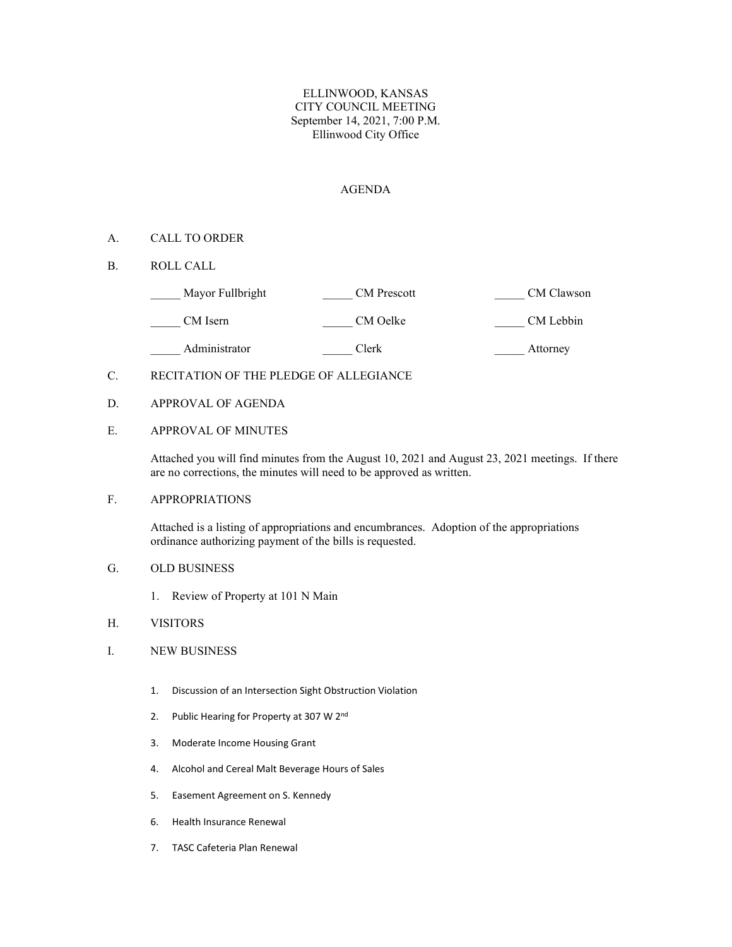## ELLINWOOD, KANSAS CITY COUNCIL MEETING September 14, 2021, 7:00 P.M. Ellinwood City Office

## AGENDA

## A. CALL TO ORDER

B. ROLL CALL

| Mayor Fullbright | <b>CM</b> Prescott | CM Clawson |
|------------------|--------------------|------------|
| CM Isern         | CM Oelke           | CM Lebbin  |

Administrator Clerk Clerk Attorney

# C. RECITATION OF THE PLEDGE OF ALLEGIANCE

D. APPROVAL OF AGENDA

# E. APPROVAL OF MINUTES

Attached you will find minutes from the August 10, 2021 and August 23, 2021 meetings. If there are no corrections, the minutes will need to be approved as written.

# F. APPROPRIATIONS

Attached is a listing of appropriations and encumbrances. Adoption of the appropriations ordinance authorizing payment of the bills is requested.

#### G. OLD BUSINESS

1. Review of Property at 101 N Main

## H. VISITORS

## I. NEW BUSINESS

- 1. Discussion of an Intersection Sight Obstruction Violation
- 2. Public Hearing for Property at 307 W 2<sup>nd</sup>
- 3. Moderate Income Housing Grant
- 4. Alcohol and Cereal Malt Beverage Hours of Sales
- 5. Easement Agreement on S. Kennedy
- 6. Health Insurance Renewal
- 7. TASC Cafeteria Plan Renewal